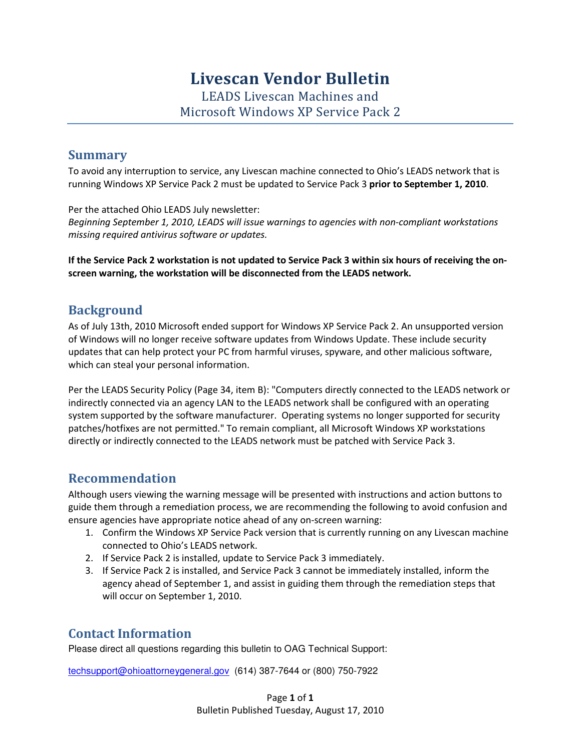## Livescan Vendor Bulletin

LEADS Livescan Machines and Microsoft Windows XP Service Pack 2

#### **Summary**

To avoid any interruption to service, any Livescan machine connected to Ohio's LEADS network that is running Windows XP Service Pack 2 must be updated to Service Pack 3 prior to September 1, 2010.

Per the attached Ohio LEADS July newsletter: Beginning September 1, 2010, LEADS will issue warnings to agencies with non-compliant workstations missing required antivirus software or updates.

If the Service Pack 2 workstation is not updated to Service Pack 3 within six hours of receiving the onscreen warning, the workstation will be disconnected from the LEADS network.

#### **Background**

As of July 13th, 2010 Microsoft ended support for Windows XP Service Pack 2. An unsupported version of Windows will no longer receive software updates from Windows Update. These include security updates that can help protect your PC from harmful viruses, spyware, and other malicious software, which can steal your personal information.

Per the LEADS Security Policy (Page 34, item B): "Computers directly connected to the LEADS network or indirectly connected via an agency LAN to the LEADS network shall be configured with an operating system supported by the software manufacturer. Operating systems no longer supported for security patches/hotfixes are not permitted." To remain compliant, all Microsoft Windows XP workstations directly or indirectly connected to the LEADS network must be patched with Service Pack 3.

#### Recommendation

Although users viewing the warning message will be presented with instructions and action buttons to guide them through a remediation process, we are recommending the following to avoid confusion and ensure agencies have appropriate notice ahead of any on-screen warning:

- 1. Confirm the Windows XP Service Pack version that is currently running on any Livescan machine connected to Ohio's LEADS network.
- 2. If Service Pack 2 is installed, update to Service Pack 3 immediately.
- 3. If Service Pack 2 is installed, and Service Pack 3 cannot be immediately installed, inform the agency ahead of September 1, and assist in guiding them through the remediation steps that will occur on September 1, 2010.

#### Contact Information

Please direct all questions regarding this bulletin to OAG Technical Support:

techsupport@ohioattorneygeneral.gov (614) 387-7644 or (800) 750-7922